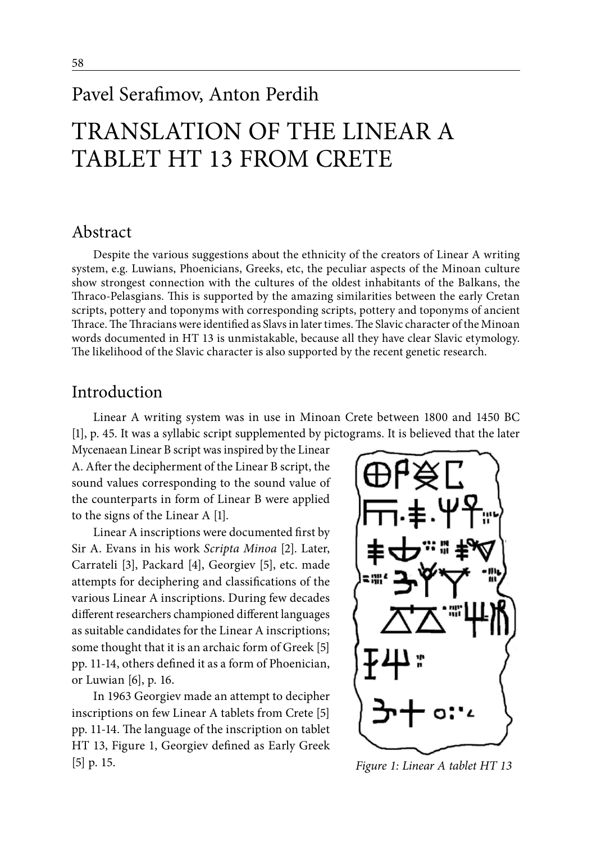# Pavel Serafimov, Anton Perdih

# TRANSLATION OF THE LINEAR A TABLET HT 13 FROM CRETE

### Abstract

Despite the various suggestions about the ethnicity of the creators of Linear A writing system, e.g. Luwians, Phoenicians, Greeks, etc, the peculiar aspects of the Minoan culture show strongest connection with the cultures of the oldest inhabitants of the Balkans, the Thraco-Pelasgians. This is supported by the amazing similarities between the early Cretan scripts, pottery and toponyms with corresponding scripts, pottery and toponyms of ancient Thrace. The Thracians were identified as Slavs in later times. The Slavic character of the Minoan words documented in HT 13 is unmistakable, because all they have clear Slavic etymology. The likelihood of the Slavic character is also supported by the recent genetic research.

### Introduction

Linear A writing system was in use in Minoan Crete between 1800 and 1450 BC [1], p. 45. It was a syllabic script supplemented by pictograms. It is believed that the later

Mycenaean Linear B script was inspired by the Linear A. After the decipherment of the Linear B script, the sound values corresponding to the sound value of the counterparts in form of Linear B were applied to the signs of the Linear A [1].

Linear A inscriptions were documented first by Sir A. Evans in his work *Scripta Minoa* [2]. Later, Carrateli [3], Packard [4], Georgiev [5], etc. made attempts for deciphering and classifications of the various Linear A inscriptions. During few decades different researchers championed different languages as suitable candidates for the Linear A inscriptions; some thought that it is an archaic form of Greek [5] pp. 11-14, others defined it as a form of Phoenician, or Luwian [6], p. 16.

In 1963 Georgiev made an attempt to decipher inscriptions on few Linear A tablets from Crete [5] pp. 11-14. The language of the inscription on tablet HT 13, Figure 1, Georgiev defined as Early Greek [5] p. 15. *Figure 1: Linear A tablet HT 13*

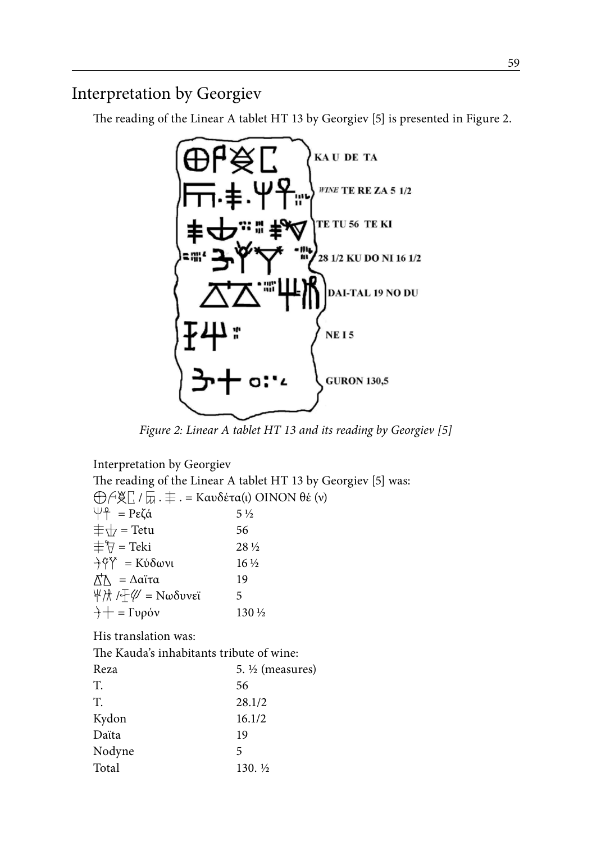# Interpretation by Georgiev

The reading of the Linear A tablet HT 13 by Georgiev [5] is presented in Figure 2.



*Figure 2: Linear A tablet HT 13 and its reading by Georgiev [5]*

Interpretation by Georgiev The reading of the Linear A tablet HT 13 by Georgiev [5] was:  $\bigoplus$  *A* & Γ, /  $\overline{u}$  .  $\pm$  . = Καυδέτα(ι) ΟΙΝΟΝ θέ (ν)  $\psi$ <sup>2</sup> = Ρεζά 5 ½  $\pm \sqrt{7}$  = Tetu 56  $\pm \sqrt[4]{7}$  = Teki 28 ½  $\frac{\partial^2 \phi}{\partial x^2} = K \dot{\phi} \delta \omega v \dot{\phi}$  16 ½  $Λ<sup>†</sup>Λ = Δα$ ϊτα 19  $\frac{1}{2}$  / $\frac{1}{2}$  / $\frac{1}{2}$  = Νωδυνεϊ 5  $\div$  = Γυρόν 130 ½ His translation was: The Kauda's inhabitants tribute of wine: Reza 5. ½ (measures) T. 56 T. 28.1/2 Kydon 16.1/2 Daïta 19 Nodyne 5 Total 130.  $\frac{1}{2}$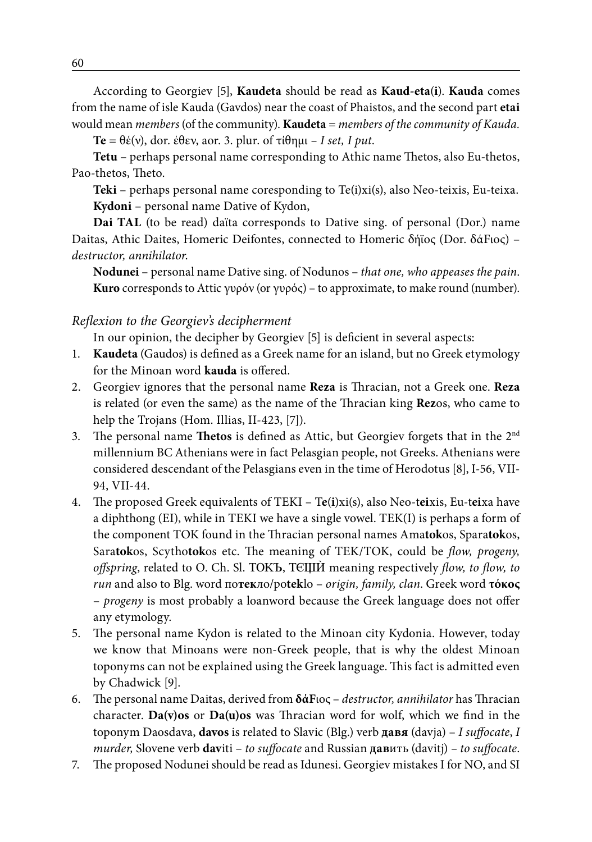According to Georgiev [5], **Kaudeta** should be read as **Kaud-eta**(**i**). **Kauda** comes from the name of isle Kauda (Gavdos) near the coast of Phaistos, and the second part **etai**  would mean *members* (of the community). **Kaudeta** = *members of the community of Kauda.*

**Te** = θέ(ν), dor. έθεν, aor. 3. plur. of τίθημι *– I set, I put*.

**Tetu** – perhaps personal name corresponding to Athic name Thetos, also Eu-thetos, Pao-thetos, Theto.

**Teki** – perhaps personal name coresponding to Te(i)xi(s), also Neo-teixis, Eu-teixa. **Kydoni** – personal name Dative of Kydon,

**Dai TAL** (to be read) daϊta corresponds to Dative sing. of personal (Dor.) name Daitas, Athic Daites, Homeric Deifontes, connected to Homeric δήϊος (Dor. δάFιος) – *destructor, annihilator*.

**Nodunei** – personal name Dative sing. of Nodunos – *that one, who appeases the pain*. **Kuro** corresponds to Attic γυρόν (or γυρός) – to approximate, to make round (number).

#### *Reflexion to the Georgiev's decipherment*

In our opinion, the decipher by Georgiev [5] is deficient in several aspects:

- 1. **Kaudeta** (Gaudos) is defined as a Greek name for an island, but no Greek etymology for the Minoan word **kauda** is offered.
- 2. Georgiev ignores that the personal name **Reza** is Thracian, not a Greek one. **Reza** is related (or even the same) as the name of the Thracian king **Rez**os, who came to help the Trojans (Hom. Illias, II-423, [7]).
- 3. The personal name **Thetos** is defined as Attic, but Georgiev forgets that in the 2nd millennium BC Athenians were in fact Pelasgian people, not Greeks. Athenians were considered descendant of the Pelasgians even in the time of Herodotus [8], I-56, VII-94, VII-44.
- 4. The proposed Greek equivalents of TEKI T**e**(**i**)xi(s), also Neo-t**ei**xis, Eu-t**ei**xa have a diphthong (EI), while in TEKI we have a single vowel. TEK(I) is perhaps a form of the component TOK found in the Thracian personal names Ama**tok**os, Spara**tok**os, Sara**tok**os, Scytho**tok**os etc. The meaning of TEK/TOK, could be *flow, progeny, offspring*, related to O. Ch. Sl. TOK<sub>D</sub>, TCIIII meaning respectively *flow, to flow, to run* and also to Blg. word по**тек**ло/po**tek**lo – *origin, family, clan*. Greek word **τόκος** – *progeny* is most probably a loanword because the Greek language does not offer any etymology.
- 5. The personal name Kydon is related to the Minoan city Kydonia. However, today we know that Minoans were non-Greek people, that is why the oldest Minoan toponyms can not be explained using the Greek language. This fact is admitted even by Chadwick [9].
- 6. The personal name Daitas, derived from **δάF**ιος *destructor, annihilator* has Thracian character. **Da(v)os** or **Da(u)os** was Thracian word for wolf, which we find in the toponym Daosdava, **davos** is related to Slavic (Blg.) verb **давя** (davja) – *I suffocate*, *I murder,* Slovene verb **dav**iti – *to suffocate* and Russian **дав**ить (davitj) *– to suffocate*.
- 7. The proposed Nodunei should be read as Idunesi. Georgiev mistakes I for NO, and SI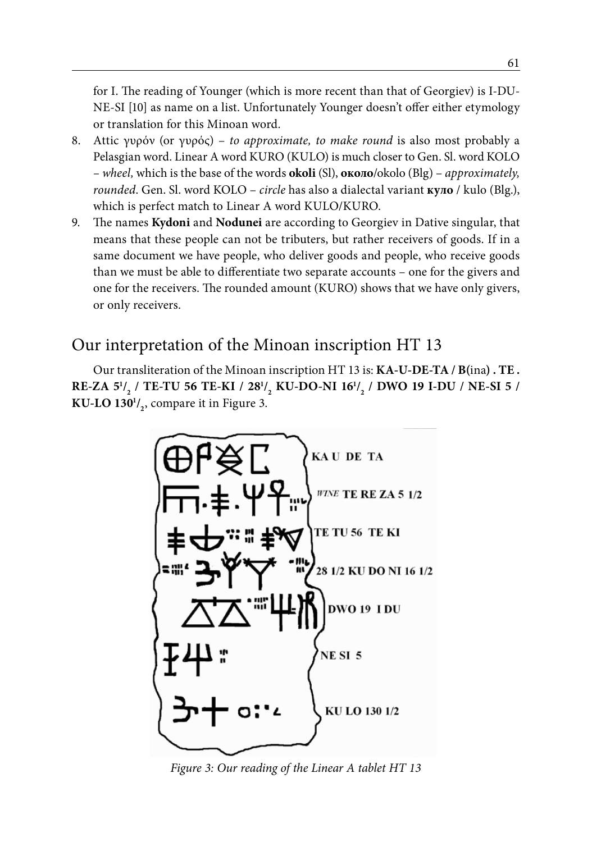for I. The reading of Younger (which is more recent than that of Georgiev) is I-DU-NE-SI [10] as name on a list. Unfortunately Younger doesn't offer either etymology or translation for this Minoan word.

- 8. Attic γυρόν (or γυρός) *to approximate, to make round* is also most probably a Pelasgian word. Linear A word KURO (KULO) is much closer to Gen. Sl. word KOLO *– wheel,* which is the base of the words **okoli** (Sl), **около**/okolo (Blg) – *approximately, rounded*. Gen. Sl. word KOLO – *circle* has also a dialectal variant **куло** / kulo (Blg.), which is perfect match to Linear A word KULO/KURO.
- 9. The names **Kydoni** and **Nodunei** are according to Georgiev in Dative singular, that means that these people can not be tributers, but rather receivers of goods. If in a same document we have people, who deliver goods and people, who receive goods than we must be able to differentiate two separate accounts – one for the givers and one for the receivers. The rounded amount (KURO) shows that we have only givers, or only receivers.

# Our interpretation of the Minoan inscription HT 13

Our transliteration of the Minoan inscription HT 13 is: **KA-U-DE-TA / B(**ina**) . TE . RE-ZA 51 / 2 / TE-TU 56 TE-KI / 281 / 2 KU-DO-NI 161 / 2 / DWO 19 I-DU / NE-SI 5 / KU-LO 1301 / 2** , compare it in Figure 3.



*Figure 3: Our reading of the Linear A tablet HT 13*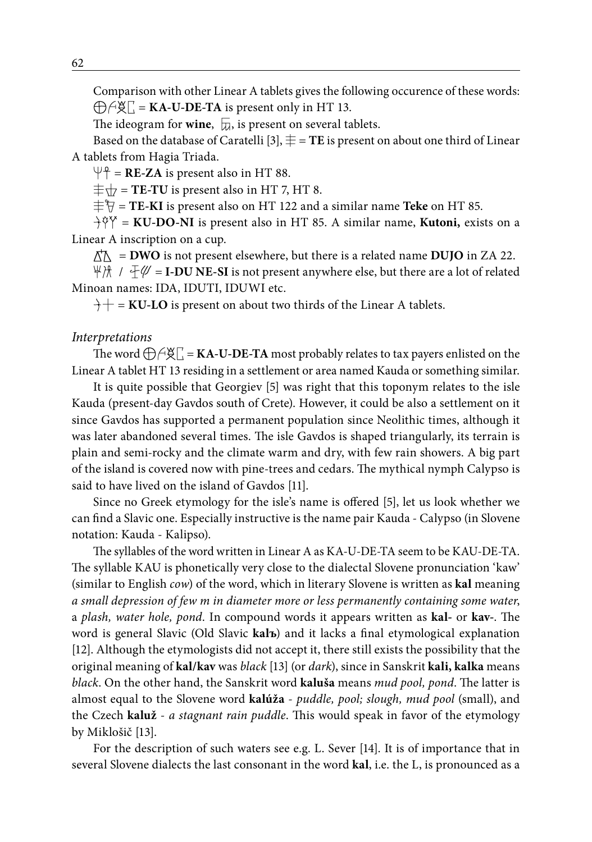Comparison with other Linear A tablets gives the following occurence of these words:  $\bigoplus \bigoplus \bigoplus$  **KA-U-DE-TA** is present only in HT 13.

The ideogram for **wine**,  $\overline{u}$ , is present on several tablets.

Based on the database of Caratelli [3],  $\pm$  = TE is present on about one third of Linear A tablets from Hagia Triada.

 $\Psi$ <sup>2</sup> = **RE-ZA** is present also in HT 88.

 $\pm \sqrt{7}$  = **TE-TU** is present also in HT 7, HT 8.

 $\pm \sqrt{\frac{1}{7}}$  = **TE-KI** is present also on HT 122 and a similar name **Teke** on HT 85.

 $\hat{H}^{\alpha} = \text{KU-DO-NI}$  is present also in HT 85. A similar name, **Kutoni**, exists on a Linear A inscription on a cup.

 $n \uparrow \wedge$  = **DWO** is not present elsewhere, but there is a related name **DUJO** in ZA 22.

 $\forall x \in \mathbb{Z}$  = **I-DU NE-SI** is not present anywhere else, but there are a lot of related Minoan names: IDA, IDUTI, IDUWI etc.

 $\hat{H}$  = **KU-LO** is present on about two thirds of the Linear A tablets.

#### *Interpretations*

The word  $\bigoplus \bigoplus \bigotimes \Gamma = KA-U-DE-TA$  most probably relates to tax payers enlisted on the Linear A tablet HT 13 residing in a settlement or area named Kauda or something similar.

It is quite possible that Georgiev [5] was right that this toponym relates to the isle Kauda (present-day Gavdos south of Crete). However, it could be also a settlement on it since Gavdos has supported a permanent population since Neolithic times, although it was later abandoned several times. The isle Gavdos is shaped triangularly, its terrain is plain and semi-rocky and the climate warm and dry, with few rain showers. A big part of the island is covered now with pine-trees and cedars. The mythical nymph Calypso is said to have lived on the island of Gavdos [11].

Since no Greek etymology for the isle's name is offered [5], let us look whether we can find a Slavic one. Especially instructive is the name pair Kauda - Calypso (in Slovene notation: Kauda - Kalipso).

The syllables of the word written in Linear A as KA-U-DE-TA seem to be KAU-DE-TA. The syllable KAU is phonetically very close to the dialectal Slovene pronunciation 'kaw' (similar to English *cow*) of the word, which in literary Slovene is written as **kal** meaning *a small depression of few m in diameter more or less permanently containing some water*, a *plash, water hole, pond*. In compound words it appears written as **kal-** or **kav-**. The word is general Slavic (Old Slavic **kalъ**) and it lacks a final etymological explanation [12]. Although the etymologists did not accept it, there still exists the possibility that the original meaning of **kal/kav** was *black* [13] (or *dark*), since in Sanskrit **kali, kalka** means *black*. On the other hand, the Sanskrit word **kaluša** means *mud pool, pond*. The latter is almost equal to the Slovene word **kalúža** - *puddle, pool; slough, mud pool* (small), and the Czech **kaluž** - *a stagnant rain puddle*. This would speak in favor of the etymology by Miklošič [13].

For the description of such waters see e.g. L. Sever [14]. It is of importance that in several Slovene dialects the last consonant in the word **kal**, i.e. the L, is pronounced as a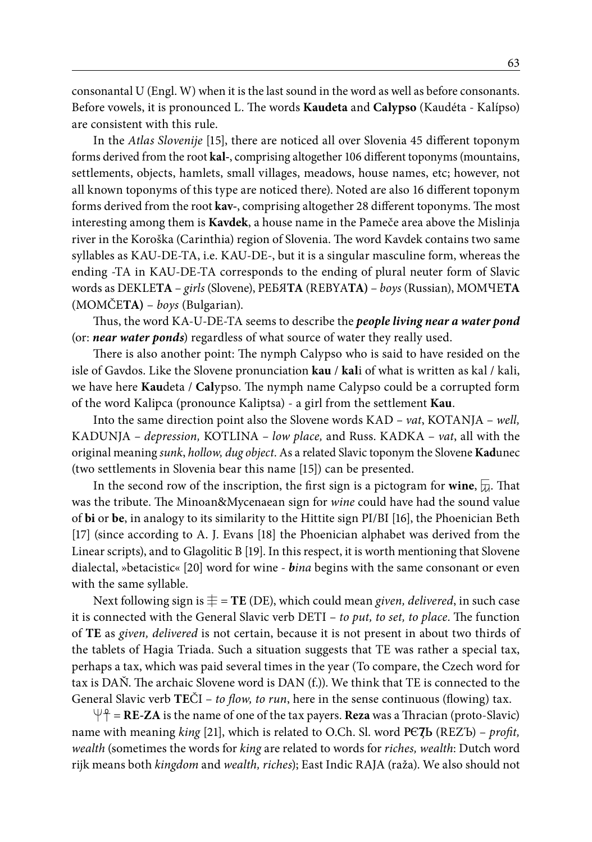consonantal U (Engl. W) when it is the last sound in the word as well as before consonants. Before vowels, it is pronounced L. The words **Kaudeta** and **Calypso** (Kaudéta - Kalípso) are consistent with this rule.

In the *Atlas Slovenije* [15], there are noticed all over Slovenia 45 different toponym forms derived from the root **kal-**, comprising altogether 106 different toponyms (mountains, settlements, objects, hamlets, small villages, meadows, house names, etc; however, not all known toponyms of this type are noticed there). Noted are also 16 different toponym forms derived from the root **kav-**, comprising altogether 28 different toponyms. The most interesting among them is **Kavdek**, a house name in the Pameče area above the Mislinja river in the Koroška (Carinthia) region of Slovenia. The word Kavdek contains two same syllables as KAU-DE-TA, i.e. KAU-DE-, but it is a singular masculine form, whereas the ending -TA in KAU-DE-TA corresponds to the ending of plural neuter form of Slavic words as DEKLE**TA** – *girls* (Slovene), РЕБЯ**ТА** (REBYA**TA)** – *boys* (Russian), MOMЧЕ**ТА** (MOMČE**TA)** – *boys* (Bulgarian).

Thus, the word KA-U-DE-TA seems to describe the *people living near a water pond*  (or: *near water ponds*) regardless of what source of water they really used.

There is also another point: The nymph Calypso who is said to have resided on the isle of Gavdos. Like the Slovene pronunciation **kau** / **kal**i of what is written as kal / kali, we have here **Kau**deta / **Cal**ypso. The nymph name Calypso could be a corrupted form of the word Kalipca (pronounce Kaliptsa) - a girl from the settlement **Kau**.

Into the same direction point also the Slovene words KAD *– vat*, KOTANJA – *well,*  KADUNJA *– depression,* KOTLINA *– low place,* and Russ. KADKA – *vat*, all with the original meaning *sunk*, *hollow, dug object*. As a related Slavic toponym the Slovene **Kad**unec (two settlements in Slovenia bear this name [15]) can be presented.

In the second row of the inscription, the first sign is a pictogram for **wine**,  $\overline{a}$ . That was the tribute. The Minoan&Mycenaean sign for *wine* could have had the sound value of **bi** or **be**, in analogy to its similarity to the Hittite sign PI/BI [16], the Phoenician Beth [17] (since according to A. J. Evans [18] the Phoenician alphabet was derived from the Linear scripts), and to Glagolitic B [19]. In this respect, it is worth mentioning that Slovene dialectal, »betacistic« [20] word for wine - *bina* begins with the same consonant or even with the same syllable.

Next following sign is  $\equiv$  **TE** (DE), which could mean *given*, *delivered*, in such case it is connected with the General Slavic verb DETI – *to put, to set, to place*. The function of **TE** as *given, delivered* is not certain, because it is not present in about two thirds of the tablets of Hagia Triada. Such a situation suggests that TE was rather a special tax, perhaps a tax, which was paid several times in the year (To compare, the Czech word for tax is DAŇ. The archaic Slovene word is DAN (f.)). We think that TE is connected to the General Slavic verb **TE**ČI – *to flow, to run*, here in the sense continuous (flowing) tax.

 $\Psi$ <sup>2</sup> = **RE-ZA** is the name of one of the tax payers. **Reza** was a Thracian (proto-Slavic) name with meaning *king* [21], which is related to O.Ch. Sl. word **PC7b** (REZЪ) – *profit*, *wealth* (sometimes the words for *king* are related to words for *riches, wealth*: Dutch word rijk means both *kingdom* and *wealth, riches*); East Indic RAJA (raža). We also should not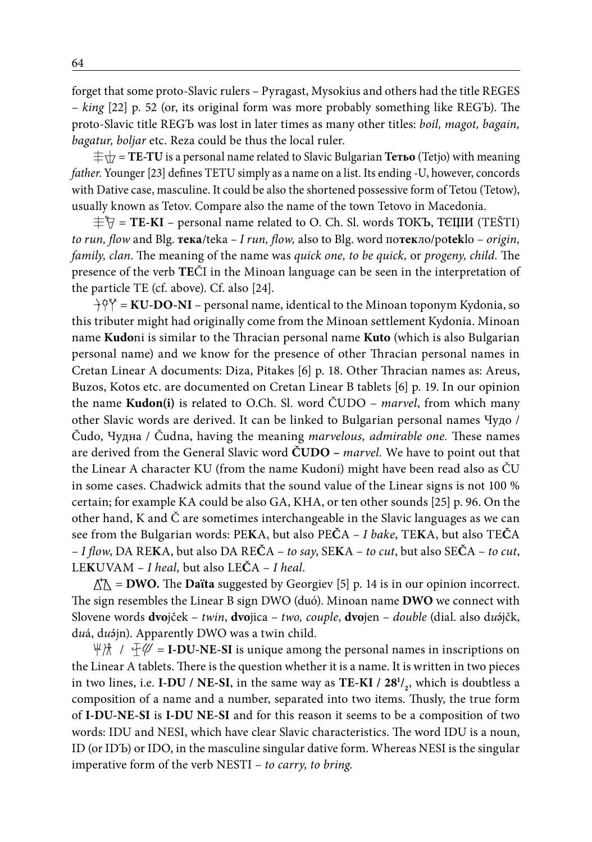forget that some proto-Slavic rulers – Pyragast, Mysokius and others had the title REGES – *king* [22] p. 52 (or, its original form was more probably something like REGЪ). The proto-Slavic title REGЪ was lost in later times as many other titles: *boil, magot, bagain, bagatur, boljar* etc. Reza could be thus the local ruler.

 $\pm \sqrt{ }$  = **TE-TU** is a personal name related to Slavic Bulgarian **Тетьо** (Tetjo) with meaning *father*. Younger [23] defines TETU simply as a name on a list. Its ending -U, however, concords with Dative case, masculine. It could be also the shortened possessive form of Tetou (Tetow), usually known as Tetov. Compare also the name of the town Tetovo in Macedonia.

 $\pm \nabla = TE-KI$  – personal name related to O. Ch. Sl. words TOKB, TEILIM (TEŠTI) *to run, flow* and Blg. **тека**/teka *– I run, flow,* also to Blg. word по**тек**ло/po**tek**lo – *origin, family, clan*. The meaning of the name was *quick one, to be quick,* or *progeny, child.* The presence of the verb **TE**ČI in the Minoan language can be seen in the interpretation of the particle TE (cf. above). Cf. also [24].

 $\hat{H}^{\alpha} = \text{KU-DO-NI}$  – personal name, identical to the Minoan toponym Kydonia, so this tributer might had originally come from the Minoan settlement Kydonia. Minoan name **Kudo**ni is similar to the Thracian personal name **Kuto** (which is also Bulgarian personal name) and we know for the presence of other Thracian personal names in Cretan Linear A documents: Diza, Pitakes [6] p. 18. Other Thracian names as: Areus, Buzos, Kotos etc. are documented on Cretan Linear B tablets [6] p. 19. In our opinion the name **Kudon(i)** is related to O.Ch. Sl. word ČUDO – *marvel*, from which many other Slavic words are derived. It can be linked to Bulgarian personal names Чудo / Čudo, Чудна / Čudna, having the meaning *marvelous, admirable one.* These names are derived from the General Slavic word **ČUDO –** *marvel.* We have to point out that the Linear A character KU (from the name Kudoni) might have been read also as ČU in some cases. Chadwick admits that the sound value of the Linear signs is not 100 % certain; for example KA could be also GA, KHA, or ten other sounds [25] p. 96. On the other hand, K and Č are sometimes interchangeable in the Slavic languages as we can see from the Bulgarian words: PE**K**A, but also PE**Č**A *– I bake*, TE**K**A, but also TE**Č**A – *I flow*, DA RE**K**A, but also DA RE**Č**A – *to say*, SE**K**A – *to cut*, but also SE**Č**A – *to cut*, LE**K**UVAM – *I heal,* but also LE**Č**A – *I heal*.

 $\Delta \Lambda$  = **DWO.** The **Daïta** suggested by Georgiev [5] p. 14 is in our opinion incorrect. The sign resembles the Linear B sign DWO (duó). Minoan name **DWO** we connect with Slovene words **dvo**jček – *twin*, **dvo**jica – *two, couple*, **dvo**jen – *double* (dial. also d*u* jčk, d*u*á, d*u* jn). Apparently DWO was a twin child.

 $\forall x \in \mathbb{Z}$  = **I-DU-NE-SI** is unique among the personal names in inscriptions on the Linear A tablets. There is the question whether it is a name. It is written in two pieces in two lines, i.e. **I-DU / NE-SI**, in the same way as **TE-KI / 281 / 2** , which is doubtless a composition of a name and a number, separated into two items. Thusly, the true form of **I-DU-NE-SI** is **I-DU NE-SI** and for this reason it seems to be a composition of two words: IDU and NESI, which have clear Slavic characteristics. The word IDU is a noun, ID (or IDЪ) or IDO, in the masculine singular dative form. Whereas NESI is the singular imperative form of the verb NESTI – *to carry, to bring*.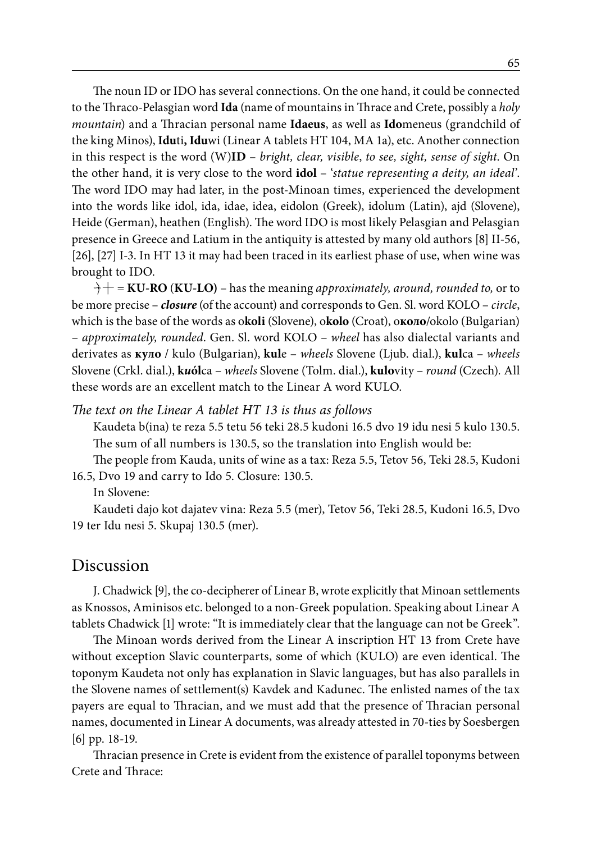The noun ID or IDO has several connections. On the one hand, it could be connected to the Thraco-Pelasgian word **Ida** (name of mountains in Thrace and Crete, possibly a *holy mountain*) and a Thracian personal name **Idaeus**, as well as **Ido**meneus (grandchild of the king Minos), **Idu**ti**, Idu**wi (Linear A tablets HT 104, MA 1a), etc. Another connection in this respect is the word (W)**ID** – *bright, clear, visible*, *to see, sight, sense of sight*. On the other hand, it is very close to the word **idol** – '*statue representing a deity, an ideal*'. The word IDO may had later, in the post-Minoan times, experienced the development into the words like idol, ida, idae, idea, eidolon (Greek), idolum (Latin), ajd (Slovene), Heide (German), heathen (English). The word IDO is most likely Pelasgian and Pelasgian presence in Greece and Latium in the antiquity is attested by many old authors [8] II-56, [26], [27] I-3. In HT 13 it may had been traced in its earliest phase of use, when wine was brought to IDO.

:P = **KU-RO** (**KU-LO)** – has the meaning *approximately, around, rounded to,* or to be more precise – *closure* (of the account) and corresponds to Gen. Sl. word KOLO – *circle*, which is the base of the words as o**koli** (Slovene), o**kolo** (Croat), о**коло**/okolo (Bulgarian) – *approximately, rounded*. Gen. Sl. word KOLO – *wheel* has also dialectal variants and derivates as **куло** / kulo (Bulgarian), **kul**e – *wheels* Slovene (Ljub. dial.), **kul**ca – *wheels* Slovene (Crkl. dial.), **k***u***ól**ca – *wheels* Slovene (Tolm. dial.), **kulo**vity – *round* (Czech)*.* All these words are an excellent match to the Linear A word KULO.

#### *The text on the Linear A tablet HT 13 is thus as follows*

Kaudeta b(ina) te reza 5.5 tetu 56 teki 28.5 kudoni 16.5 dvo 19 idu nesi 5 kulo 130.5. The sum of all numbers is 130.5, so the translation into English would be:

The people from Kauda, units of wine as a tax: Reza 5.5, Tetov 56, Teki 28.5, Kudoni 16.5, Dvo 19 and carry to Ido 5. Closure: 130.5.

In Slovene:

Kaudeti dajo kot dajatev vina: Reza 5.5 (mer), Tetov 56, Teki 28.5, Kudoni 16.5, Dvo 19 ter Idu nesi 5. Skupaj 130.5 (mer).

#### Discussion

J. Chadwick [9], the co-decipherer of Linear B, wrote explicitly that Minoan settlements as Knossos, Aminisos etc. belonged to a non-Greek population. Speaking about Linear A tablets Chadwick [1] wrote: "It is immediately clear that the language can not be Greek".

The Minoan words derived from the Linear A inscription HT 13 from Crete have without exception Slavic counterparts, some of which (KULO) are even identical. The toponym Kaudeta not only has explanation in Slavic languages, but has also parallels in the Slovene names of settlement(s) Kavdek and Kadunec. The enlisted names of the tax payers are equal to Thracian, and we must add that the presence of Thracian personal names, documented in Linear A documents, was already attested in 70-ties by Soesbergen [6] pp. 18-19.

Thracian presence in Crete is evident from the existence of parallel toponyms between Crete and Thrace: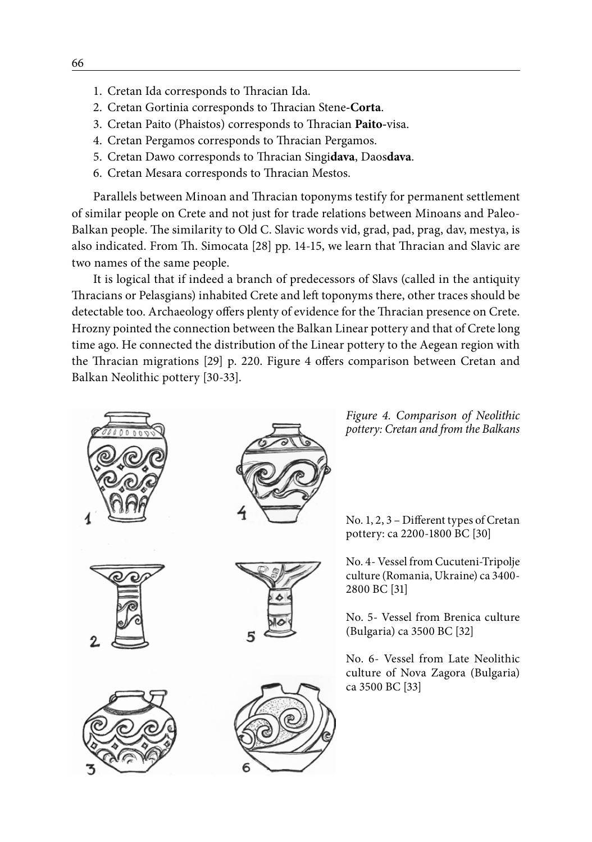- 1. Cretan Ida corresponds to Thracian Ida.
- 2. Cretan Gortinia corresponds to Thracian Stene**-Corta**.
- 3. Cretan Paito (Phaistos) corresponds to Thracian **Paito-**visa.
- 4. Cretan Pergamos corresponds to Thracian Pergamos.
- 5. Cretan Dawo corresponds to Thracian Singi**dava**, Daos**dava**.
- 6. Cretan Mesara corresponds to Thracian Mestos.

Parallels between Minoan and Thracian toponyms testify for permanent settlement of similar people on Crete and not just for trade relations between Minoans and Paleo-Balkan people. The similarity to Old C. Slavic words vid, grad, pad, prag, dav, mestya, is also indicated. From Th. Simocata [28] pp. 14-15, we learn that Thracian and Slavic are two names of the same people.

It is logical that if indeed a branch of predecessors of Slavs (called in the antiquity Thracians or Pelasgians) inhabited Crete and left toponyms there, other traces should be detectable too. Archaeology offers plenty of evidence for the Thracian presence on Crete. Hrozny pointed the connection between the Balkan Linear pottery and that of Crete long time ago. He connected the distribution of the Linear pottery to the Aegean region with the Thracian migrations [29] p. 220. Figure 4 offers comparison between Cretan and Balkan Neolithic pottery [30-33].









*Figure 4. Comparison of Neolithic pottery: Cretan and from the Balkans*

No. 1, 2, 3 – Different types of Cretan pottery: ca 2200-1800 BC [30]

No. 4- Vessel from Cucuteni-Tripolje culture (Romania, Ukraine) ca 3400- 2800 BC [31]

No. 5- Vessel from Brenica culture (Bulgaria) ca 3500 BC [32]

No. 6- Vessel from Late Neolithic culture of Nova Zagora (Bulgaria) ca 3500 BC [33]

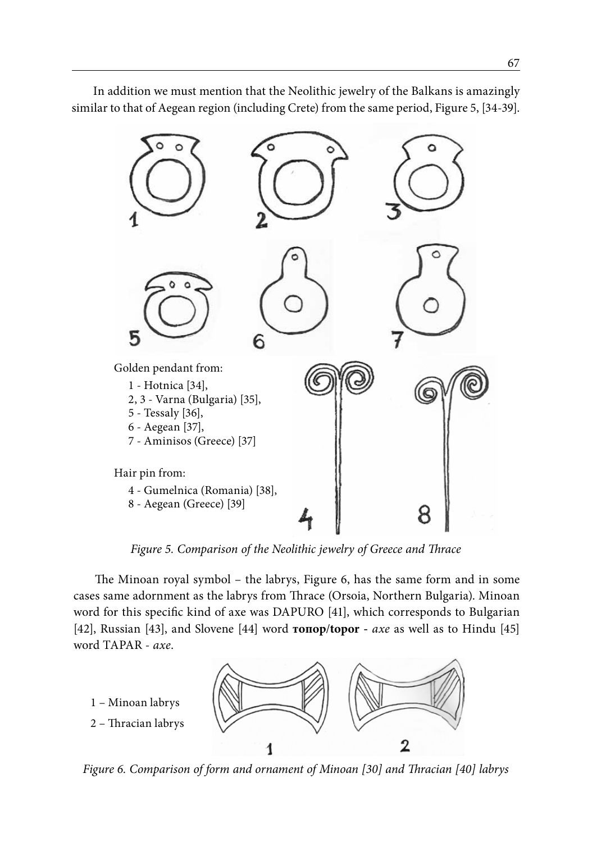

In addition we must mention that the Neolithic jewelry of the Balkans is amazingly similar to that of Aegean region (including Crete) from the same period, Figure 5, [34-39].

*Figure 5. Comparison of the Neolithic jewelry of Greece and Thrace*

The Minoan royal symbol – the labrys, Figure 6, has the same form and in some cases same adornment as the labrys from Thrace (Orsoia, Northern Bulgaria). Minoan word for this specific kind of axe was DAPURO [41], which corresponds to Bulgarian [42], Russian [43], and Slovene [44] word **топор**/**topor -** *axe* as well as to Hindu [45] word TAPAR - *axe*.



*Figure 6. Comparison of form and ornament of Minoan [30] and Thracian [40] labrys*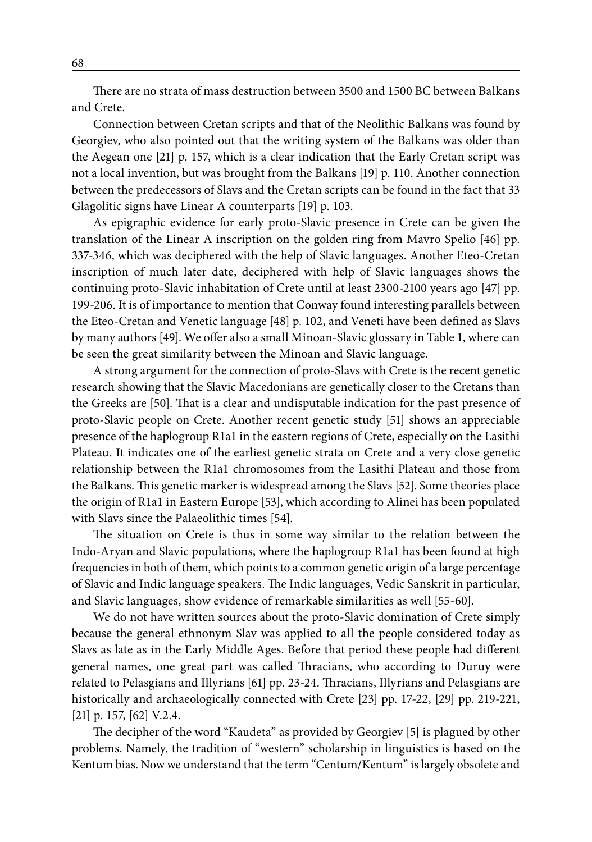There are no strata of mass destruction between 3500 and 1500 BC between Balkans and Crete.

Connection between Cretan scripts and that of the Neolithic Balkans was found by Georgiev, who also pointed out that the writing system of the Balkans was older than the Aegean one [21] p. 157, which is a clear indication that the Early Cretan script was not a local invention, but was brought from the Balkans [19] p. 110. Another connection between the predecessors of Slavs and the Cretan scripts can be found in the fact that 33 Glagolitic signs have Linear A counterparts [19] p. 103.

As epigraphic evidence for early proto-Slavic presence in Crete can be given the translation of the Linear A inscription on the golden ring from Mavro Spelio [46] pp. 337-346, which was deciphered with the help of Slavic languages. Another Eteo-Cretan inscription of much later date, deciphered with help of Slavic languages shows the continuing proto-Slavic inhabitation of Crete until at least 2300-2100 years ago [47] pp. 199-206. It is of importance to mention that Conway found interesting parallels between the Eteo-Cretan and Venetic language [48] p. 102, and Veneti have been defined as Slavs by many authors [49]. We offer also a small Minoan-Slavic glossary in Table 1, where can be seen the great similarity between the Minoan and Slavic language.

A strong argument for the connection of proto-Slavs with Crete is the recent genetic research showing that the Slavic Macedonians are genetically closer to the Cretans than the Greeks are [50]. That is a clear and undisputable indication for the past presence of proto-Slavic people on Crete. Another recent genetic study [51] shows an appreciable presence of the haplogroup R1a1 in the eastern regions of Crete, especially on the Lasithi Plateau. It indicates one of the earliest genetic strata on Crete and a very close genetic relationship between the R1a1 chromosomes from the Lasithi Plateau and those from the Balkans. This genetic marker is widespread among the Slavs [52]. Some theories place the origin of R1a1 in Eastern Europe [53], which according to Alinei has been populated with Slavs since the Palaeolithic times [54].

The situation on Crete is thus in some way similar to the relation between the Indo-Aryan and Slavic populations, where the haplogroup R1a1 has been found at high frequencies in both of them, which points to a common genetic origin of a large percentage of Slavic and Indic language speakers. The Indic languages, Vedic Sanskrit in particular, and Slavic languages, show evidence of remarkable similarities as well [55-60].

We do not have written sources about the proto-Slavic domination of Crete simply because the general ethnonym Slav was applied to all the people considered today as Slavs as late as in the Early Middle Ages. Before that period these people had different general names, one great part was called Thracians, who according to Duruy were related to Pelasgians and Illyrians [61] pp. 23-24. Thracians, Illyrians and Pelasgians are historically and archaeologically connected with Crete [23] pp. 17-22, [29] pp. 219-221, [21] p. 157, [62] V.2.4.

The decipher of the word "Kaudeta" as provided by Georgiev [5] is plagued by other problems. Namely, the tradition of "western" scholarship in linguistics is based on the Kentum bias. Now we understand that the term "Centum/Kentum" is largely obsolete and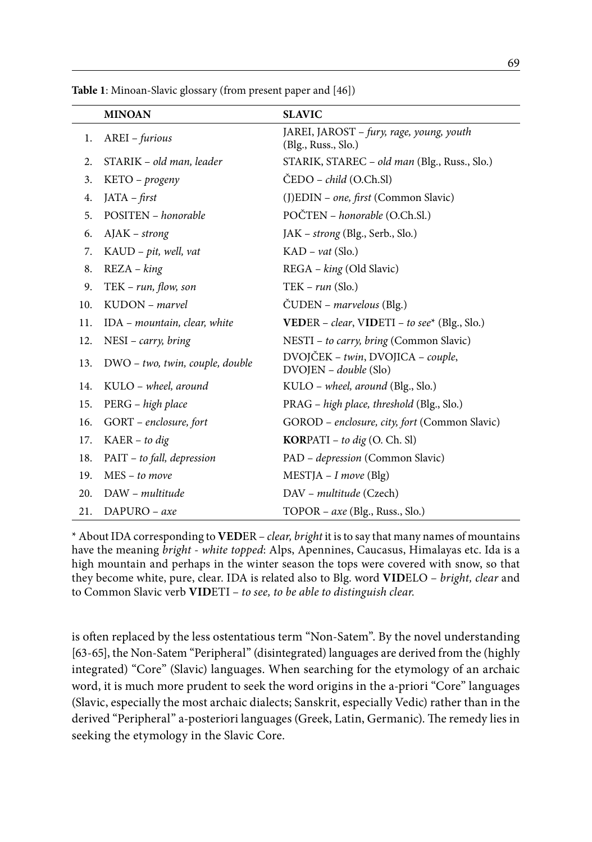|     | <b>MINOAN</b>                   | <b>SLAVIC</b>                                                   |
|-----|---------------------------------|-----------------------------------------------------------------|
| 1.  | AREI - furious                  | JAREI, JAROST – fury, rage, young, youth<br>(Blg., Russ., Slo.) |
| 2.  | STARIK – old man, leader        | STARIK, STAREC - old man (Blg., Russ., Slo.)                    |
| 3.  | KETO - progeny                  | ČEDO – <i>child</i> (O.Ch.Sl)                                   |
| 4.  | $IATA - first$                  | (J)EDIN - one, first (Common Slavic)                            |
| 5.  | POSITEN - honorable             | POČTEN – honorable (O.Ch.Sl.)                                   |
| 6.  | $A$ J $AK - strong$             | JAK – strong (Blg., Serb., Slo.)                                |
| 7.  | KAUD - pit, well, vat           | $KAD - vat$ (Slo.)                                              |
| 8.  | $REZA - king$                   | REGA – king (Old Slavic)                                        |
| 9.  | $TEK - run, flow, son$          | $TEK - run (Slo.)$                                              |
| 10. | KUDON - marvel                  | ČUDEN – marvelous (Blg.)                                        |
| 11. | IDA - mountain, clear, white    | VEDER - clear, VIDETI - to see* (Blg., Slo.)                    |
| 12. | $NESI - carry, bring$           | NESTI - to carry, bring (Common Slavic)                         |
| 13. | DWO - two, twin, couple, double | DVOJČEK - twin, DVOJICA - couple,<br>$DVOJEN - double(Slo)$     |
| 14. | KULO – wheel, around            | KULO – wheel, around (Blg., Slo.)                               |
| 15. | PERG – high place               | PRAG – high place, threshold (Blg., Slo.)                       |
| 16. | GORT - enclosure, fort          | GOROD - enclosure, city, fort (Common Slavic)                   |
| 17. | $K AER - to dig$                | <b>KORPATI</b> – to dig $(O, Ch, Sl)$                           |
| 18. | PAIT – to fall, depression      | PAD – <i>depression</i> (Common Slavic)                         |
| 19. | MES – to move                   | $MESTJA - I$ move (Blg)                                         |
| 20. | DAW – multitude                 | DAV – multitude (Czech)                                         |
| 21. | DAPURO - axe                    | TOPOR – axe (Blg., Russ., Slo.)                                 |

**Table 1**: Minoan-Slavic glossary (from present paper and [46])

\* About IDA corresponding to **VED**ER – *clear, bright* it is to say that many names of mountains have the meaning *bright - white topped*: Alps, Apennines, Caucasus, Himalayas etc. Ida is a high mountain and perhaps in the winter season the tops were covered with snow, so that they become white, pure, clear. IDA is related also to Blg. word **VID**ELO – *bright, clear* and to Common Slavic verb **VID**ETI – *to see, to be able to distinguish clear*.

is often replaced by the less ostentatious term "Non-Satem". By the novel understanding [63-65], the Non-Satem "Peripheral" (disintegrated) languages are derived from the (highly integrated) "Core" (Slavic) languages. When searching for the etymology of an archaic word, it is much more prudent to seek the word origins in the a-priori "Core" languages (Slavic, especially the most archaic dialects; Sanskrit, especially Vedic) rather than in the derived "Peripheral" a-posteriori languages (Greek, Latin, Germanic). The remedy lies in seeking the etymology in the Slavic Core.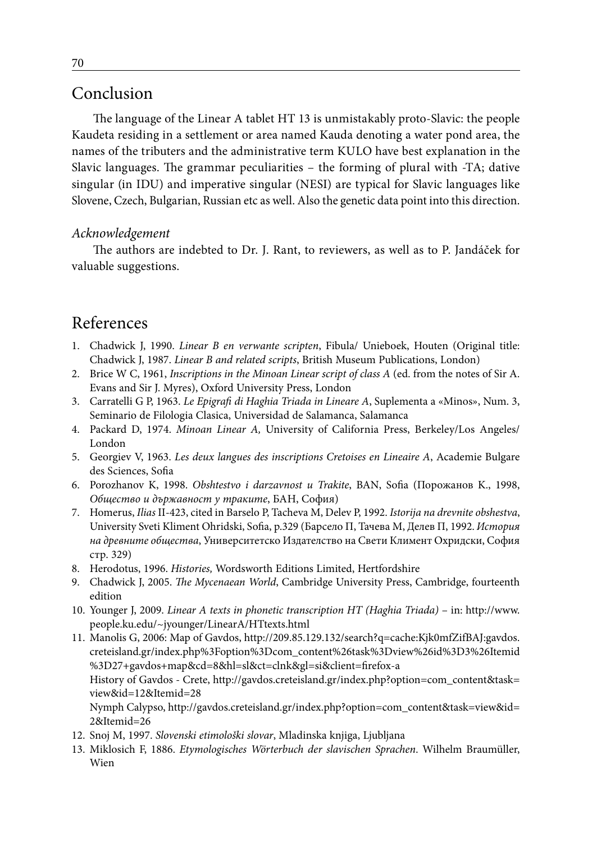# Conclusion

The language of the Linear A tablet HT 13 is unmistakably proto-Slavic: the people Kaudeta residing in a settlement or area named Kauda denoting a water pond area, the names of the tributers and the administrative term KULO have best explanation in the Slavic languages. The grammar peculiarities – the forming of plural with -TA; dative singular (in IDU) and imperative singular (NESI) are typical for Slavic languages like Slovene, Czech, Bulgarian, Russian etc as well. Also the genetic data point into this direction.

#### *Acknowledgement*

The authors are indebted to Dr. J. Rant, to reviewers, as well as to P. Jandáček for valuable suggestions.

## References

- 1. Chadwick J, 1990. *Linear B en verwante scripten*, Fibula/ Unieboek, Houten (Original title: Chadwick J, 1987. *Linear B and related scripts*, British Museum Publications, London)
- 2. Brice W C, 1961, *Inscriptions in the Minoan Linear script of class A* (ed. from the notes of Sir A. Evans and Sir J. Myres), Oxford University Press, London
- 3. Carratelli G P, 1963. *Le Epigrafi di Haghia Triada in Lineare A*, Suplementa a «Minos», Num. 3, Seminario de Filologia Clasica, Universidad de Salamanca, Salamanca
- 4. Packard D, 1974. *Minoan Linear A,* University of California Press, Berkeley/Los Angeles/ London
- 5. Georgiev V, 1963. *Les deux langues des inscriptions Cretoises en Lineaire A*, Academie Bulgare des Sciences, Sofia
- 6. Porozhanov K, 1998. *Obshtestvo i darzavnost u Trakite*, BAN, Sofia (Порожанов K., 1998, *Общество и държавност у траките*, БАН, София)
- 7. Homerus, *Ilias* II-423, cited in Barselo P, Tacheva M, Delev P, 1992. *Istorija na drevnite obshestva*, University Sveti Kliment Ohridski, Sofia, p.329 (Барсело П, Тачева М, Делев П, 1992. *История на древните общества*, Университетско Издателство на Свети Климент Охридски, София стр. 329)
- 8. Herodotus, 1996. *Histories,* Wordsworth Editions Limited, Hertfordshire
- 9. Chadwick J, 2005. *The Mycenaean World*, Cambridge University Press, Cambridge, fourteenth edition
- 10. Younger J, 2009. *Linear A texts in phonetic transcription HT (Haghia Triada)* in: http://www. people.ku.edu/~jyounger/LinearA/HTtexts.html
- 11. Manolis G, 2006: Map of Gavdos, http://209.85.129.132/search?q=cache:Kjk0mfZifBAJ:gavdos. creteisland.gr/index.php%3Foption%3Dcom\_content%26task%3Dview%26id%3D3%26Itemid %3D27+gavdos+map&cd=8&hl=sl&ct=clnk&gl=si&client=firefox-a History of Gavdos - Crete, http://gavdos.creteisland.gr/index.php?option=com\_content&task= view&id=12&Itemid=28 Nymph Calypso, http://gavdos.creteisland.gr/index.php?option=com\_content&task=view&id= 2&Itemid=26
- 12. Snoj M, 1997. *Slovenski etimološki slovar*, Mladinska knjiga, Ljubljana
- 13. Miklosich F, 1886. *Etymologisches Wörterbuch der slavischen Sprachen*. Wilhelm Braumüller, Wien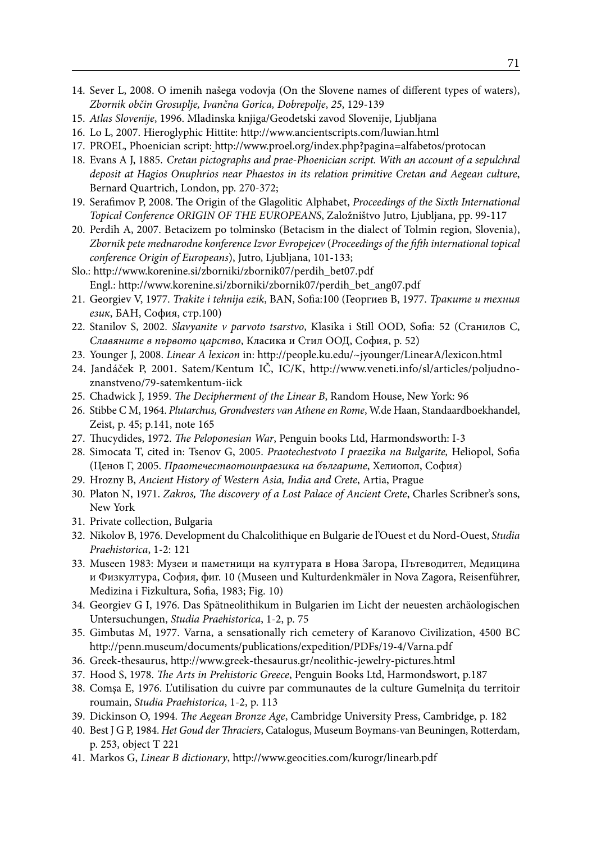- 14. Sever L, 2008. O imenih našega vodovja (On the Slovene names of different types of waters), *Zbornik občin Grosuplje, Ivančna Gorica, Dobrepolje*, *25*, 129-139
- 15. *Atlas Slovenije*, 1996. Mladinska knjiga/Geodetski zavod Slovenije, Ljubljana
- 16. Lo L, 2007. Hieroglyphic Hittite: http://www.ancientscripts.com/luwian.html
- 17. PROEL, Phoenician script: http://www.proel.org/index.php?pagina=alfabetos/protocan
- 18. Evans A J, 1885. *Cretan pictographs and prae-Phoenician script. With an account of a sepulchral deposit at Hagios Onuphrios near Phaestos in its relation primitive Cretan and Aegean culture*, Bernard Quartrich, London, pp. 270-372;
- 19. Serafimov P, 2008. The Origin of the Glagolitic Alphabet, *Proceedings of the Sixth International Topical Conference ORIGIN OF THE EUROPEANS*, Založništvo Jutro, Ljubljana, pp. 99-117
- 20. Perdih A, 2007. Betacizem po tolminsko (Betacism in the dialect of Tolmin region, Slovenia), *Zbornik pete mednarodne konference Izvor Evropejcev* (*Proceedings of the fifth international topical conference Origin of Europeans*), Jutro, Ljubljana, 101-133;
- Slo.: http://www.korenine.si/zborniki/zbornik07/perdih\_bet07.pdf Engl.: http://www.korenine.si/zborniki/zbornik07/perdih\_bet\_ang07.pdf
- 21. Georgiev V, 1977. *Trakite i tehnija ezik*, BAN, Sofia:100 (Георгиев В, 1977. *Траките и техния език*, БАН, София, стр.100)
- 22. Stanilov S, 2002. *Slavyanite v parvoto tsarstvo*, Klasika i Still OOD, Sofia: 52 (Станилов С, *Славяните в първото царство*, Класика и Стил ООД, София, p. 52)
- 23. Younger J, 2008. *Linear A lexicon* in: http://people.ku.edu/~jyounger/LinearA/lexicon.html
- 24. Jandáček P, 2001. Satem/Kentum IČ, IC/K, http://www.veneti.info/sl/articles/poljudnoznanstveno/79-satemkentum-iick
- 25. Chadwick J, 1959. *The Decipherment of the Linear B*, Random House, New York: 96
- 26. Stibbe C M, 1964. *Plutarchus, Grondvesters van Athene en Rome*, W.de Haan, Standaardboekhandel, Zeist, p. 45; p.141, note 165
- 27. Thucydides, 1972. *The Peloponesian War*, Penguin books Ltd, Harmondsworth: I-3
- 28. Simocata T, cited in: Tsenov G, 2005. *Praotechestvoto I praezika na Bulgarite,* Heliopol, Sofia (Ценов Г, 2005. *Праотечествотоипраезика на българите*, Хелиопол, София)
- 29. Hrozny B, *Ancient History of Western Asia, India and Crete*, Artia, Prague
- 30. Platon N, 1971. *Zakros, The discovery of a Lost Palace of Ancient Crete*, Charles Scribner's sons, New York
- 31. Private collection, Bulgaria
- 32. Nikolov B, 1976. Development du Chalcolithique en Bulgarie de l'Ouest et du Nord-Ouest, *Studia Praehistorica*, 1-2: 121
- 33. Museen 1983: Музеи и паметници на културата в Нова Загора, Пътеводител, Медицина и Физкултура, София, фиг. 10 (Museen und Kulturdenkmäler in Nova Zagora, Reisenführer, Medizina i Fizkultura, Sofia, 1983; Fig. 10)
- 34. Georgiev G I, 1976. Das Spätneolithikum in Bulgarien im Licht der neuesten archäologischen Untersuchungen, *Studia Praehistorica*, 1-2, p. 75
- 35. Gimbutas M, 1977. Varna, a sensationally rich cemetery of Karanovo Civilization, 4500 BC http://penn.museum/documents/publications/expedition/PDFs/19-4/Varna.pdf
- 36. Greek-thesaurus, http://www.greek-thesaurus.gr/neolithic-jewelry-pictures.html
- 37. Hood S, 1978. *The Arts in Prehistoric Greece*, Penguin Books Ltd, Harmondswort, p.187
- 38. Comşa E, 1976. L'utilisation du cuivre par communautes de la culture Gumelniţa du territoir roumain, *Studia Praehistorica*, 1-2, p. 113
- 39. Dickinson O, 1994. *The Aegean Bronze Age*, Cambridge University Press, Cambridge, p. 182
- 40. Best J G P, 1984. *Het Goud der Thraciers*, Catalogus, Museum Boymans-van Beuningen, Rotterdam, p. 253, object T 221
- 41. Markos G, *Linear B dictionary*, http://www.geocities.com/kurogr/linearb.pdf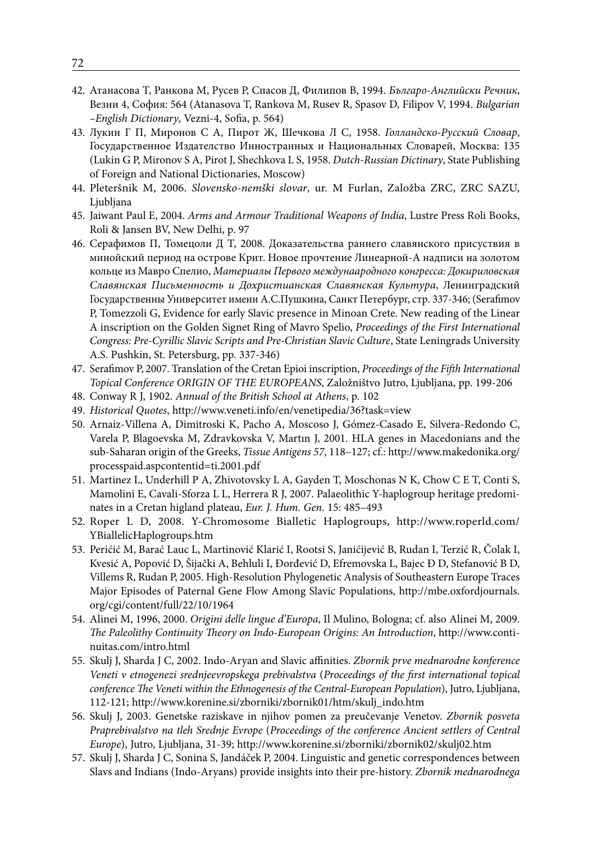- 42. Атанасова Т, Ранкова М, Русев Р, Спасов Д, Филипов В, 1994. *Българо-Английски Речник*, Везни 4, София: 564 (Atanasova T, Rankova M, Rusev R, Spasov D, Filipov V, 1994. *Bulgarian –English Dictionary*, Vezni-4, Sofia, p. 564)
- 43. Лукин Г П, Миронов С А, Пирот Ж, Шечкова Л С, 1958. *Голландско-Русский Словар*, Государственное Издателство Инностранных и Национальных Словарей, Москва: 135 (Lukin G P, Mironov S A, Pirot J, Shechkova L S, 1958. *Dutch-Russian Dictinary*, State Publishing of Foreign and National Dictionaries, Moscow)
- 44. Pleteršnik M, 2006. *Slovensko-nemški slovar*, ur. M Furlan, Založba ZRC, ZRC SAZU, Ljubljana
- 45. Jaiwant Paul E, 2004. *Arms and Armour Traditional Weapons of India*, Lustre Press Roli Books, Roli & Jansen BV, New Delhi, p. 97
- 46. Серафимов П, Томецоли Д Т, 2008. Доказательства раннего славянского присуствия в минойский период на острове Крит. Новое прочтение Линеарной-А надписи на золотом кольце из Мавро Спелио, *Материалы Первого междунаародного конгресса: Докириловская Славянская Письменность и Дохристианская Славянская Культура*, Ленинградский Государственны Университет имени А.С.Пушкина, Санкт Петербург, стр. 337-346; (Serafimov P, Tomezzoli G, Evidence for early Slavic presence in Minoan Crete. New reading of the Linear A inscription on the Golden Signet Ring of Mavro Spelio, *Proceedings of the First International Congress: Pre-Cyrillic Slavic Scripts and Pre-Christian Slavic Culture*, State Leningrads University A.S. Pushkin, St. Petersburg, pp. 337-346)
- 47. Serafimov P, 2007. Translation of the Cretan Epioi inscription, *Proceedings of the Fifth International Topical Conference ORIGIN OF THE EUROPEANS*, Založništvo Jutro, Ljubljana, pp. 199-206
- 48. Conway R J, 1902. *Annual of the British School at Athens*, p. 102
- 49. *Historical Quotes*, http://www.veneti.info/en/venetipedia/36?task=view
- 50. Arnaiz-Villena A, Dimitroski K, Pacho A, Moscoso J, Gómez-Casado E, Silvera-Redondo C, Varela P, Blagoevska M, Zdravkovska V, Martın J, 2001. HLA genes in Macedonians and the sub-Saharan origin of the Greeks, *Tissue Antigens 57*, 118–127; cf.: http://www.makedonika.org/ processpaid.aspcontentid=ti.2001.pdf
- 51. Martinez L, Underhill P A, Zhivotovsky L A, Gayden T, Moschonas N K, Chow C E T, Conti S, Mamolini E, Cavali-Sforza L L, Herrera R J, 2007. Palaeolithic Y-haplogroup heritage predominates in a Cretan higland plateau, *Eur. J. Hum. Gen.* 15: 485–493
- 52. Roper L D, 2008. Y-Chromosome Bialletic Haplogroups, http://www.roperld.com/ YBiallelicHaplogroups.htm
- 53. Perićić M, Barać Lauc L, Martinović Klarić I, Rootsi S, Janićijević B, Rudan I, Terzić R, Čolak I, Kvesić A, Popović D, Šijački A, Behluli I, Đorđević D, Efremovska L, Bajec Đ D, Stefanović B D, Villems R, Rudan P, 2005. High-Resolution Phylogenetic Analysis of Southeastern Europe Traces Major Episodes of Paternal Gene Flow Among Slavic Populations, http://mbe.oxfordjournals. org/cgi/content/full/22/10/1964
- 54. Alinei M, 1996, 2000. *Origini delle lingue d'Europa*, Il Mulino, Bologna; cf. also Alinei M, 2009. *The Paleolithy Continuity Theory on Indo-European Origins: An Introduction*, http://www.continuitas.com/intro.html
- 55. Skulj J, Sharda J C, 2002. Indo-Aryan and Slavic affinities. *Zbornik prve mednarodne konference Veneti v etnogenezi srednjeevropskega prebivalstva* (*Proceedings of the first international topical conference The Veneti within the Ethnogenesis of the Central-European Population*), Jutro, Ljubljana, 112-121; http://www.korenine.si/zborniki/zbornik01/htm/skulj\_indo.htm
- 56. Skulj J, 2003. Genetske raziskave in njihov pomen za preučevanje Venetov. *Zbornik posveta Praprebivalstvo na tleh Srednje Evrope* (*Proceedings of the conference Ancient settlers of Central Europe*), Jutro, Ljubljana, 31-39; http://www.korenine.si/zborniki/zbornik02/skulj02.htm
- 57. Skulj J, Sharda J C, Sonina S, Jandáček P, 2004. Linguistic and genetic correspondences between Slavs and Indians (Indo-Aryans) provide insights into their pre-history. *Zbornik mednarodnega*